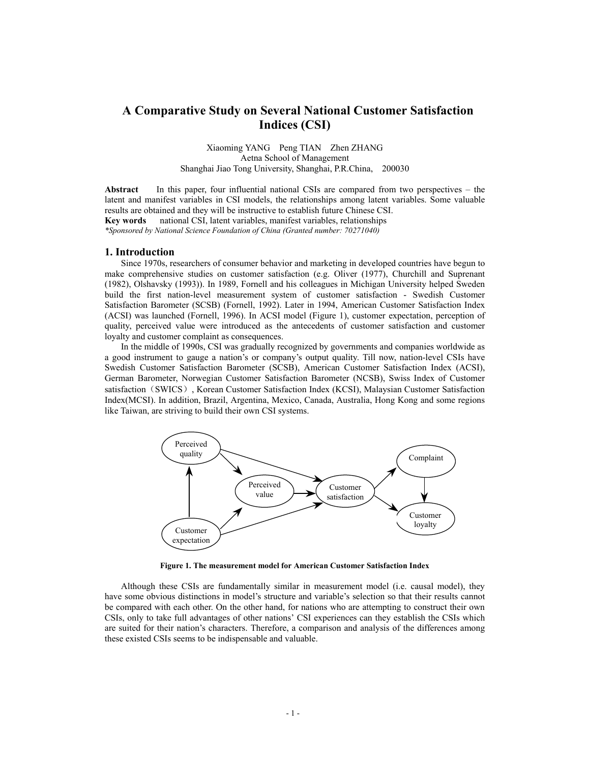# **A Comparative Study on Several National Customer Satisfaction Indices (CSI)**

Xiaoming YANG Peng TIAN Zhen ZHANG Aetna School of Management Shanghai Jiao Tong University, Shanghai, P.R.China, 200030

**Abstract** In this paper, four influential national CSIs are compared from two perspectives – the latent and manifest variables in CSI models, the relationships among latent variables. Some valuable results are obtained and they will be instructive to establish future Chinese CSI. **Key words** national CSI, latent variables, manifest variables, relationships *\*Sponsored by National Science Foundation of China (Granted number: 70271040)* 

#### **1. Introduction**

Since 1970s, researchers of consumer behavior and marketing in developed countries have begun to make comprehensive studies on customer satisfaction (e.g. Oliver (1977), Churchill and Suprenant (1982), Olshavsky (1993)). In 1989, Fornell and his colleagues in Michigan University helped Sweden build the first nation-level measurement system of customer satisfaction - Swedish Customer Satisfaction Barometer (SCSB) (Fornell, 1992). Later in 1994, American Customer Satisfaction Index (ACSI) was launched (Fornell, 1996). In ACSI model (Figure 1), customer expectation, perception of quality, perceived value were introduced as the antecedents of customer satisfaction and customer loyalty and customer complaint as consequences.

In the middle of 1990s, CSI was gradually recognized by governments and companies worldwide as a good instrument to gauge a nation's or company's output quality. Till now, nation-level CSIs have Swedish Customer Satisfaction Barometer (SCSB), American Customer Satisfaction Index (ACSI), German Barometer, Norwegian Customer Satisfaction Barometer (NCSB), Swiss Index of Customer satisfaction (SWICS), Korean Customer Satisfaction Index (KCSI), Malaysian Customer Satisfaction Index(MCSI). In addition, Brazil, Argentina, Mexico, Canada, Australia, Hong Kong and some regions like Taiwan, are striving to build their own CSI systems.



**Figure 1. The measurement model for American Customer Satisfaction Index** 

Although these CSIs are fundamentally similar in measurement model (i.e. causal model), they have some obvious distinctions in model's structure and variable's selection so that their results cannot be compared with each other. On the other hand, for nations who are attempting to construct their own CSIs, only to take full advantages of other nations' CSI experiences can they establish the CSIs which are suited for their nation's characters. Therefore, a comparison and analysis of the differences among these existed CSIs seems to be indispensable and valuable.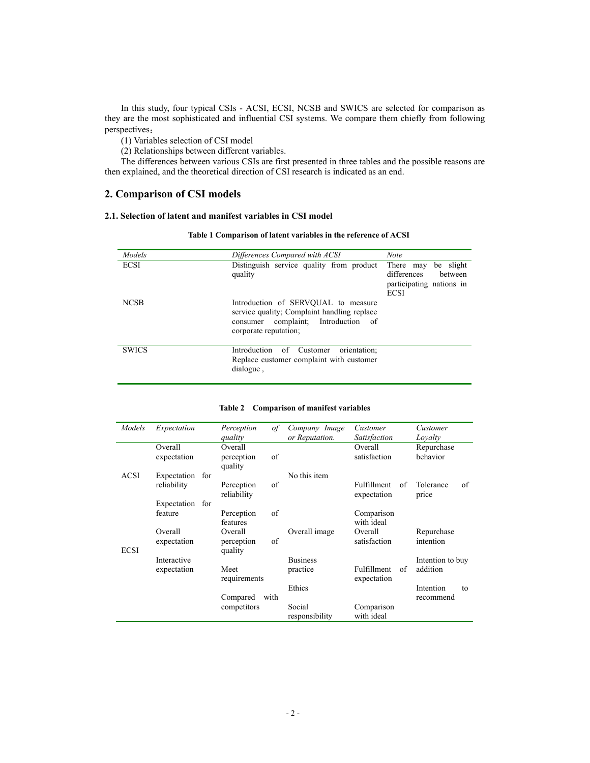In this study, four typical CSIs - ACSI, ECSI, NCSB and SWICS are selected for comparison as they are the most sophisticated and influential CSI systems. We compare them chiefly from following perspectives:

(1) Variables selection of CSI model

(2) Relationships between different variables.

The differences between various CSIs are first presented in three tables and the possible reasons are then explained, and the theoretical direction of CSI research is indicated as an end.

# **2. Comparison of CSI models**

# **2.1. Selection of latent and manifest variables in CSI model**

| Models       | Differences Compared with ACSI                                                                                                                     | <b>Note</b>                                                                                 |
|--------------|----------------------------------------------------------------------------------------------------------------------------------------------------|---------------------------------------------------------------------------------------------|
| <b>ECSI</b>  | Distinguish service quality from product<br>quality                                                                                                | There may<br>be slight<br>differences<br>between<br>participating nations in<br><b>ECSI</b> |
| <b>NCSB</b>  | Introduction of SERVOUAL to measure<br>service quality; Complaint handling replace<br>consumer complaint; Introduction of<br>corporate reputation; |                                                                                             |
| <b>SWICS</b> | Introduction<br>of Customer<br>orientation:<br>Replace customer complaint with customer<br>dialogue,                                               |                                                                                             |

| Models      | Expectation            | of<br>Perception                       | Company Image            | Customer                                | Customer                 |
|-------------|------------------------|----------------------------------------|--------------------------|-----------------------------------------|--------------------------|
|             |                        | quality                                | or Reputation.           | <b>Satisfaction</b>                     | Loyalty                  |
|             | Overall<br>expectation | Overall<br>of<br>perception<br>quality |                          | Overall<br>satisfaction                 | Repurchase<br>behavior   |
| ACSI        | Expectation<br>for     |                                        | No this item             |                                         |                          |
|             | reliability            | of<br>Perception<br>reliability        |                          | <b>Fulfillment</b><br>of<br>expectation | Tolerance<br>of<br>price |
|             | Expectation for        |                                        |                          |                                         |                          |
|             | feature                | Perception<br>of<br>features           |                          | Comparison<br>with ideal                |                          |
| <b>ECSI</b> | Overall<br>expectation | Overall<br>of<br>perception<br>quality | Overall image            | Overall<br>satisfaction                 | Repurchase<br>intention  |
|             | Interactive            |                                        | <b>Business</b>          |                                         | Intention to buy         |
|             | expectation            | Meet<br>requirements                   | practice                 | <b>Fulfillment</b><br>of<br>expectation | addition                 |
|             |                        |                                        | Ethics                   |                                         | Intention<br>to          |
|             |                        | Compared<br>with                       |                          |                                         | recommend                |
|             |                        | competitors                            | Social<br>responsibility | Comparison<br>with ideal                |                          |

### **Table 2 Comparison of manifest variables**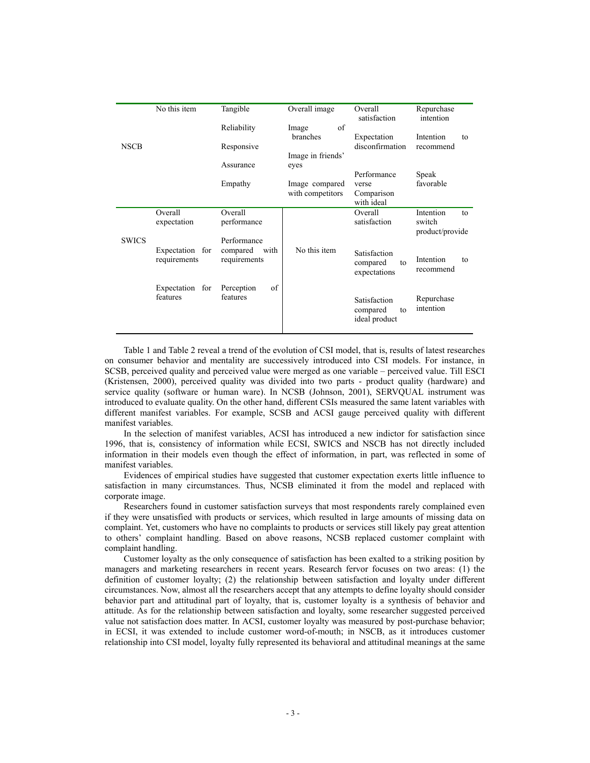|              | No this item                    | Tangible                         | Overall image           | Overall<br>satisfaction                         | Repurchase<br>intention      |
|--------------|---------------------------------|----------------------------------|-------------------------|-------------------------------------------------|------------------------------|
|              |                                 | Reliability                      | of<br>Image<br>branches | Expectation                                     | Intention<br>to              |
| <b>NSCB</b>  |                                 | Responsive                       | Image in friends'       | disconfirmation                                 | recommend                    |
|              |                                 | Assurance                        | eyes                    |                                                 |                              |
|              |                                 | Empathy                          | Image compared          | Performance<br>verse                            | Speak<br>favorable           |
|              |                                 |                                  | with competitors        | Comparison<br>with ideal                        |                              |
|              | Overall                         | Overall                          |                         | Overall                                         | Intention<br>to              |
|              | expectation                     | performance                      |                         | satisfaction                                    | switch<br>product/provide    |
| <b>SWICS</b> |                                 | Performance                      |                         |                                                 |                              |
|              | Expectation for<br>requirements | compared<br>with<br>requirements | No this item            | Satisfaction<br>compared<br>to<br>expectations  | Intention<br>to<br>recommend |
|              | Expectation for                 | of<br>Perception                 |                         |                                                 |                              |
|              | features                        | features                         |                         | Satisfaction<br>compared<br>to<br>ideal product | Repurchase<br>intention      |

Table 1 and Table 2 reveal a trend of the evolution of CSI model, that is, results of latest researches on consumer behavior and mentality are successively introduced into CSI models. For instance, in SCSB, perceived quality and perceived value were merged as one variable – perceived value. Till ESCI (Kristensen, 2000), perceived quality was divided into two parts - product quality (hardware) and service quality (software or human ware). In NCSB (Johnson, 2001), SERVOUAL instrument was introduced to evaluate quality. On the other hand, different CSIs measured the same latent variables with different manifest variables. For example, SCSB and ACSI gauge perceived quality with different manifest variables.

In the selection of manifest variables, ACSI has introduced a new indictor for satisfaction since 1996, that is, consistency of information while ECSI, SWICS and NSCB has not directly included information in their models even though the effect of information, in part, was reflected in some of manifest variables.

Evidences of empirical studies have suggested that customer expectation exerts little influence to satisfaction in many circumstances. Thus, NCSB eliminated it from the model and replaced with corporate image.

Researchers found in customer satisfaction surveys that most respondents rarely complained even if they were unsatisfied with products or services, which resulted in large amounts of missing data on complaint. Yet, customers who have no complaints to products or services still likely pay great attention to others' complaint handling. Based on above reasons, NCSB replaced customer complaint with complaint handling.

Customer loyalty as the only consequence of satisfaction has been exalted to a striking position by managers and marketing researchers in recent years. Research fervor focuses on two areas: (1) the definition of customer loyalty; (2) the relationship between satisfaction and loyalty under different circumstances. Now, almost all the researchers accept that any attempts to define loyalty should consider behavior part and attitudinal part of loyalty, that is, customer loyalty is a synthesis of behavior and attitude. As for the relationship between satisfaction and loyalty, some researcher suggested perceived value not satisfaction does matter. In ACSI, customer loyalty was measured by post-purchase behavior; in ECSI, it was extended to include customer word-of-mouth; in NSCB, as it introduces customer relationship into CSI model, loyalty fully represented its behavioral and attitudinal meanings at the same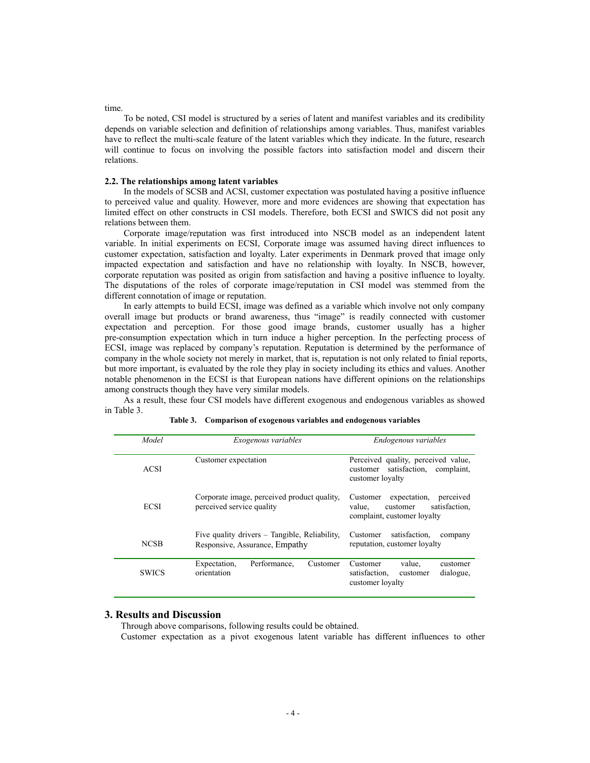#### time.

To be noted, CSI model is structured by a series of latent and manifest variables and its credibility depends on variable selection and definition of relationships among variables. Thus, manifest variables have to reflect the multi-scale feature of the latent variables which they indicate. In the future, research will continue to focus on involving the possible factors into satisfaction model and discern their relations.

#### **2.2. The relationships among latent variables**

In the models of SCSB and ACSI, customer expectation was postulated having a positive influence to perceived value and quality. However, more and more evidences are showing that expectation has limited effect on other constructs in CSI models. Therefore, both ECSI and SWICS did not posit any relations between them.

Corporate image/reputation was first introduced into NSCB model as an independent latent variable. In initial experiments on ECSI, Corporate image was assumed having direct influences to customer expectation, satisfaction and loyalty. Later experiments in Denmark proved that image only impacted expectation and satisfaction and have no relationship with loyalty. In NSCB, however, corporate reputation was posited as origin from satisfaction and having a positive influence to loyalty. The disputations of the roles of corporate image/reputation in CSI model was stemmed from the different connotation of image or reputation.

In early attempts to build ECSI, image was defined as a variable which involve not only company overall image but products or brand awareness, thus "image" is readily connected with customer expectation and perception. For those good image brands, customer usually has a higher pre-consumption expectation which in turn induce a higher perception. In the perfecting process of ECSI, image was replaced by company's reputation. Reputation is determined by the performance of company in the whole society not merely in market, that is, reputation is not only related to finial reports, but more important, is evaluated by the role they play in society including its ethics and values. Another notable phenomenon in the ECSI is that European nations have different opinions on the relationships among constructs though they have very similar models.

 As a result, these four CSI models have different exogenous and endogenous variables as showed in Table 3.

| Model        | Exogenous variables                                                             | Endogenous variables                                                                                        |  |
|--------------|---------------------------------------------------------------------------------|-------------------------------------------------------------------------------------------------------------|--|
| <b>ACSI</b>  | Customer expectation                                                            | Perceived quality, perceived value,<br>satisfaction, complaint,<br>customer<br>customer loyalty             |  |
| <b>ECSI</b>  | Corporate image, perceived product quality,<br>perceived service quality        | expectation.<br>Customer<br>perceived<br>satisfaction.<br>value.<br>customer<br>complaint, customer loyalty |  |
| <b>NCSB</b>  | Five quality drivers – Tangible, Reliability,<br>Responsive, Assurance, Empathy | satisfaction.<br>Customer<br>company<br>reputation, customer loyalty                                        |  |
| <b>SWICS</b> | Expectation,<br>Performance.<br>Customer<br>orientation                         | value.<br>Customer<br>customer<br>dialogue,<br>satisfaction.<br>customer<br>customer loyalty                |  |

**Table 3. Comparison of exogenous variables and endogenous variables** 

#### **3. Results and Discussion**

Through above comparisons, following results could be obtained.

Customer expectation as a pivot exogenous latent variable has different influences to other